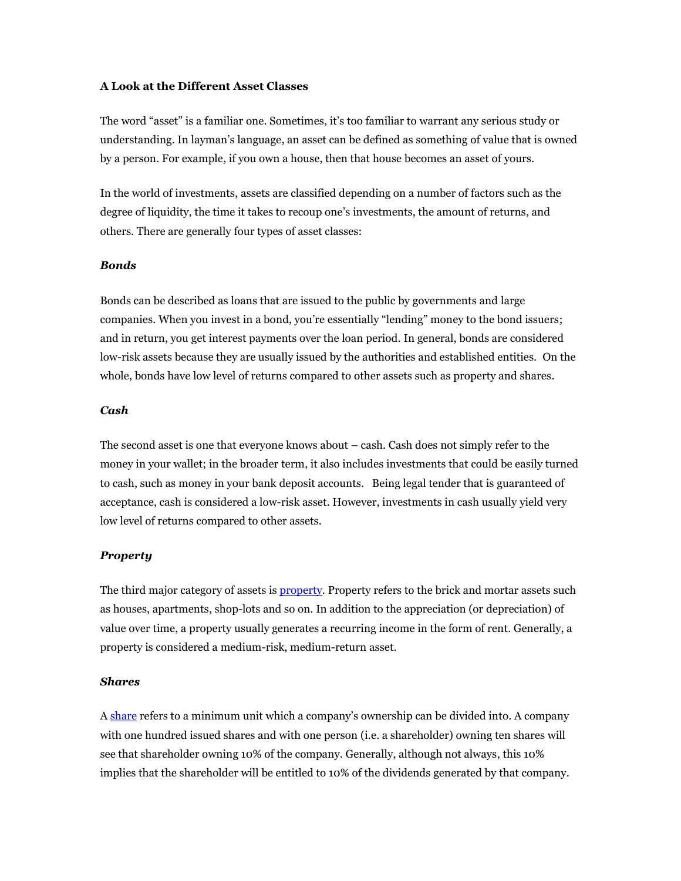# **A Look at the Different Asset Classes**

The word "asset" is a familiar one. Sometimes, it's too familiar to warrant any serious study or understanding. In layman's language, an asset can be defined as something of value that is owned by a person. For example, if you own a house, then that house becomes an asset of yours.

In the world of investments, assets are classified depending on a number of factors such as the degree of liquidity, the time it takes to recoup one's investments, the amount of returns, and others. There are generally four types of asset classes:

## *Bonds*

Bonds can be described as loans that are issued to the public by governments and large companies. When you invest in a bond, you're essentially "lending" money to the bond issuers; and in return, you get interest payments over the loan period. In general, bonds are considered low-risk assets because they are usually issued by the authorities and established entities. On the whole, bonds have low level of returns compared to other assets such as property and shares.

## *Cash*

The second asset is one that everyone knows about – cash. Cash does not simply refer to the money in your wallet; in the broader term, it also includes investments that could be easily turned to cash, such as money in your bank deposit accounts. Being legal tender that is guaranteed of acceptance, cash is considered a low-risk asset. However, investments in cash usually yield very low level of returns compared to other assets.

## *Property*

The third major category of assets is **property**. Property refers to the brick and mortar assets such as houses, apartments, shop-lots and so on. In addition to the appreciation (or depreciation) of value over time, a property usually generates a recurring income in the form of rent. Generally, a property is considered a medium-risk, medium-return asset.

## *Shares*

A [share](http://www.investopedia.com/terms/s/shares.asp) refers to a minimum unit which a company's ownership can be divided into. A company with one hundred issued shares and with one person (i.e. a shareholder) owning ten shares will see that shareholder owning 10% of the company. Generally, although not always, this 10% implies that the shareholder will be entitled to 10% of the dividends generated by that company.